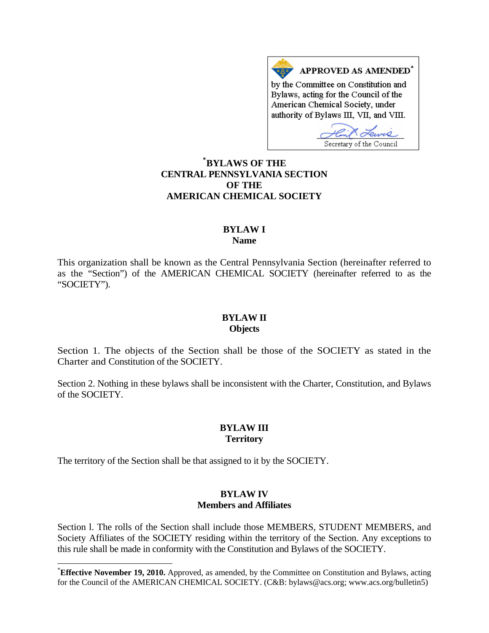APPROVED AS AMENDED<sup>\*</sup> by the Committee on Constitution and Bylaws, acting for the Council of the American Chemical Society, under authority of Bylaws III, VII, and VIII.

Secretary of the Council

# **[\\*](#page-0-0) BYLAWS OF THE CENTRAL PENNSYLVANIA SECTION OF THE AMERICAN CHEMICAL SOCIETY**

#### **BYLAW I Name**

This organization shall be known as the Central Pennsylvania Section (hereinafter referred to as the "Section") of the AMERICAN CHEMICAL SOCIETY (hereinafter referred to as the "SOCIETY").

#### **BYLAW II Objects**

Section 1. The objects of the Section shall be those of the SOCIETY as stated in the Charter and Constitution of the SOCIETY.

Section 2. Nothing in these bylaws shall be inconsistent with the Charter, Constitution, and Bylaws of the SOCIETY.

## **BYLAW III Territory**

The territory of the Section shall be that assigned to it by the SOCIETY.

l

#### **BYLAW IV Members and Affiliates**

Section l. The rolls of the Section shall include those MEMBERS, STUDENT MEMBERS, and Society Affiliates of the SOCIETY residing within the territory of the Section. Any exceptions to this rule shall be made in conformity with the Constitution and Bylaws of the SOCIETY.

<span id="page-0-0"></span><sup>\*</sup> **Effective November 19, 2010.** Approved, as amended, by the Committee on Constitution and Bylaws, acting for the Council of the AMERICAN CHEMICAL SOCIETY. (C&B: bylaws@acs.org; www.acs.org/bulletin5)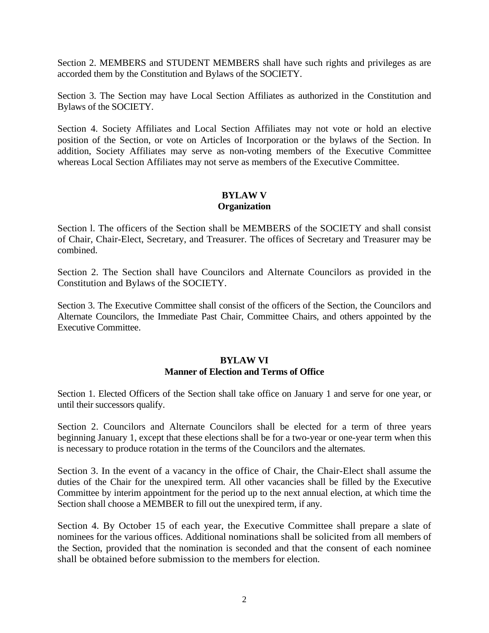Section 2. MEMBERS and STUDENT MEMBERS shall have such rights and privileges as are accorded them by the Constitution and Bylaws of the SOCIETY.

Section 3. The Section may have Local Section Affiliates as authorized in the Constitution and Bylaws of the SOCIETY.

Section 4. Society Affiliates and Local Section Affiliates may not vote or hold an elective position of the Section, or vote on Articles of Incorporation or the bylaws of the Section. In addition, Society Affiliates may serve as non-voting members of the Executive Committee whereas Local Section Affiliates may not serve as members of the Executive Committee.

## **BYLAW V Organization**

Section l. The officers of the Section shall be MEMBERS of the SOCIETY and shall consist of Chair, Chair-Elect, Secretary, and Treasurer. The offices of Secretary and Treasurer may be combined.

Section 2. The Section shall have Councilors and Alternate Councilors as provided in the Constitution and Bylaws of the SOCIETY.

Section 3. The Executive Committee shall consist of the officers of the Section, the Councilors and Alternate Councilors, the Immediate Past Chair, Committee Chairs, and others appointed by the Executive Committee.

#### **BYLAW VI Manner of Election and Terms of Office**

Section 1. Elected Officers of the Section shall take office on January 1 and serve for one year, or until their successors qualify.

Section 2. Councilors and Alternate Councilors shall be elected for a term of three years beginning January 1, except that these elections shall be for a two-year or one-year term when this is necessary to produce rotation in the terms of the Councilors and the alternates.

Section 3. In the event of a vacancy in the office of Chair, the Chair-Elect shall assume the duties of the Chair for the unexpired term. All other vacancies shall be filled by the Executive Committee by interim appointment for the period up to the next annual election, at which time the Section shall choose a MEMBER to fill out the unexpired term, if any.

Section 4. By October 15 of each year, the Executive Committee shall prepare a slate of nominees for the various offices. Additional nominations shall be solicited from all members of the Section, provided that the nomination is seconded and that the consent of each nominee shall be obtained before submission to the members for election.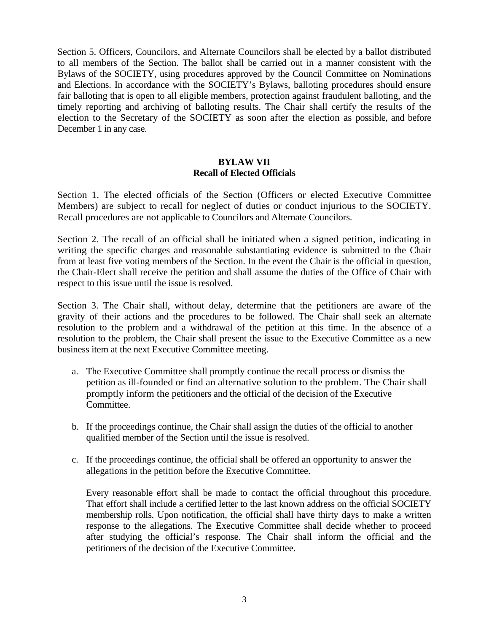Section 5. Officers, Councilors, and Alternate Councilors shall be elected by a ballot distributed to all members of the Section. The ballot shall be carried out in a manner consistent with the Bylaws of the SOCIETY, using procedures approved by the Council Committee on Nominations and Elections. In accordance with the SOCIETY's Bylaws, balloting procedures should ensure fair balloting that is open to all eligible members, protection against fraudulent balloting, and the timely reporting and archiving of balloting results. The Chair shall certify the results of the election to the Secretary of the SOCIETY as soon after the election as possible, and before December 1 in any case.

#### **BYLAW VII Recall of Elected Officials**

Section 1. The elected officials of the Section (Officers or elected Executive Committee Members) are subject to recall for neglect of duties or conduct injurious to the SOCIETY. Recall procedures are not applicable to Councilors and Alternate Councilors.

Section 2. The recall of an official shall be initiated when a signed petition, indicating in writing the specific charges and reasonable substantiating evidence is submitted to the Chair from at least five voting members of the Section. In the event the Chair is the official in question, the Chair-Elect shall receive the petition and shall assume the duties of the Office of Chair with respect to this issue until the issue is resolved.

Section 3. The Chair shall, without delay, determine that the petitioners are aware of the gravity of their actions and the procedures to be followed. The Chair shall seek an alternate resolution to the problem and a withdrawal of the petition at this time. In the absence of a resolution to the problem, the Chair shall present the issue to the Executive Committee as a new business item at the next Executive Committee meeting.

- a. The Executive Committee shall promptly continue the recall process or dismiss the petition as ill-founded or find an alternative solution to the problem. The Chair shall promptly inform the petitioners and the official of the decision of the Executive Committee.
- b. If the proceedings continue, the Chair shall assign the duties of the official to another qualified member of the Section until the issue is resolved.
- c. If the proceedings continue, the official shall be offered an opportunity to answer the allegations in the petition before the Executive Committee.

Every reasonable effort shall be made to contact the official throughout this procedure. That effort shall include a certified letter to the last known address on the official SOCIETY membership rolls. Upon notification, the official shall have thirty days to make a written response to the allegations. The Executive Committee shall decide whether to proceed after studying the official's response. The Chair shall inform the official and the petitioners of the decision of the Executive Committee.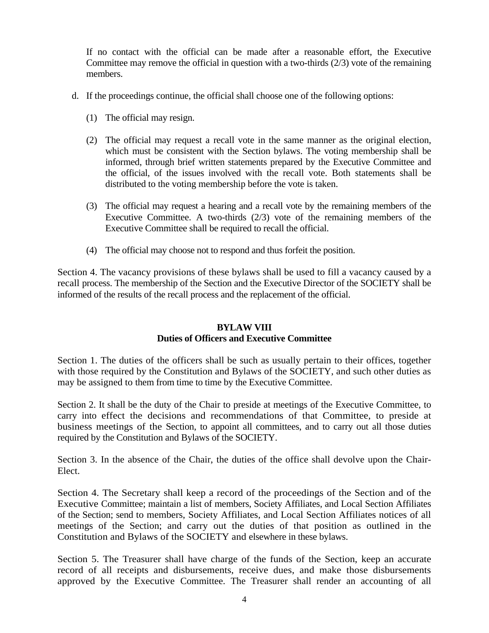If no contact with the official can be made after a reasonable effort, the Executive Committee may remove the official in question with a two-thirds (2/3) vote of the remaining members.

- d. If the proceedings continue, the official shall choose one of the following options:
	- (1) The official may resign.
	- (2) The official may request a recall vote in the same manner as the original election, which must be consistent with the Section bylaws. The voting membership shall be informed, through brief written statements prepared by the Executive Committee and the official, of the issues involved with the recall vote. Both statements shall be distributed to the voting membership before the vote is taken.
	- (3) The official may request a hearing and a recall vote by the remaining members of the Executive Committee. A two-thirds (2/3) vote of the remaining members of the Executive Committee shall be required to recall the official.
	- (4) The official may choose not to respond and thus forfeit the position.

Section 4. The vacancy provisions of these bylaws shall be used to fill a vacancy caused by a recall process. The membership of the Section and the Executive Director of the SOCIETY shall be informed of the results of the recall process and the replacement of the official.

## **BYLAW VIII Duties of Officers and Executive Committee**

Section 1. The duties of the officers shall be such as usually pertain to their offices, together with those required by the Constitution and Bylaws of the SOCIETY, and such other duties as may be assigned to them from time to time by the Executive Committee.

Section 2. It shall be the duty of the Chair to preside at meetings of the Executive Committee, to carry into effect the decisions and recommendations of that Committee, to preside at business meetings of the Section, to appoint all committees, and to carry out all those duties required by the Constitution and Bylaws of the SOCIETY.

Section 3. In the absence of the Chair, the duties of the office shall devolve upon the Chair-Elect.

Section 4. The Secretary shall keep a record of the proceedings of the Section and of the Executive Committee; maintain a list of members, Society Affiliates, and Local Section Affiliates of the Section; send to members, Society Affiliates, and Local Section Affiliates notices of all meetings of the Section; and carry out the duties of that position as outlined in the Constitution and Bylaws of the SOCIETY and elsewhere in these bylaws.

Section 5. The Treasurer shall have charge of the funds of the Section, keep an accurate record of all receipts and disbursements, receive dues, and make those disbursements approved by the Executive Committee. The Treasurer shall render an accounting of all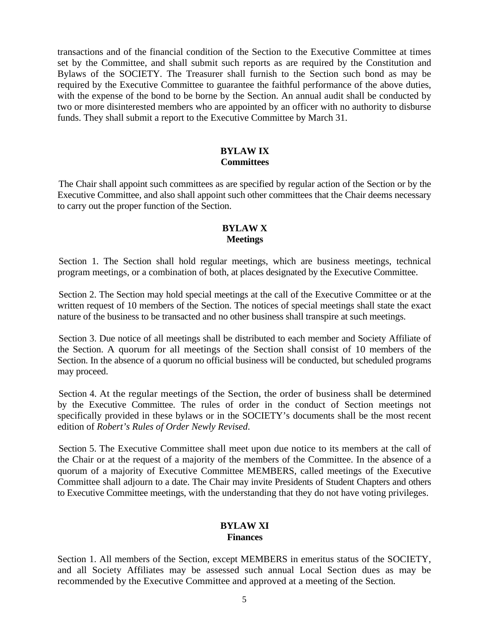transactions and of the financial condition of the Section to the Executive Committee at times set by the Committee, and shall submit such reports as are required by the Constitution and Bylaws of the SOCIETY. The Treasurer shall furnish to the Section such bond as may be required by the Executive Committee to guarantee the faithful performance of the above duties, with the expense of the bond to be borne by the Section. An annual audit shall be conducted by two or more disinterested members who are appointed by an officer with no authority to disburse funds. They shall submit a report to the Executive Committee by March 31.

# **BYLAW IX Committees**

The Chair shall appoint such committees as are specified by regular action of the Section or by the Executive Committee, and also shall appoint such other committees that the Chair deems necessary to carry out the proper function of the Section.

#### **BYLAW X Meetings**

Section 1. The Section shall hold regular meetings, which are business meetings, technical program meetings, or a combination of both, at places designated by the Executive Committee.

Section 2. The Section may hold special meetings at the call of the Executive Committee or at the written request of 10 members of the Section. The notices of special meetings shall state the exact nature of the business to be transacted and no other business shall transpire at such meetings.

Section 3. Due notice of all meetings shall be distributed to each member and Society Affiliate of the Section. A quorum for all meetings of the Section shall consist of 10 members of the Section. In the absence of a quorum no official business will be conducted, but scheduled programs may proceed.

Section 4. At the regular meetings of the Section, the order of business shall be determined by the Executive Committee. The rules of order in the conduct of Section meetings not specifically provided in these bylaws or in the SOCIETY's documents shall be the most recent edition of *Robert's Rules of Order Newly Revised*.

Section 5. The Executive Committee shall meet upon due notice to its members at the call of the Chair or at the request of a majority of the members of the Committee. In the absence of a quorum of a majority of Executive Committee MEMBERS, called meetings of the Executive Committee shall adjourn to a date. The Chair may invite Presidents of Student Chapters and others to Executive Committee meetings, with the understanding that they do not have voting privileges.

#### **BYLAW XI Finances**

Section 1. All members of the Section, except MEMBERS in emeritus status of the SOCIETY, and all Society Affiliates may be assessed such annual Local Section dues as may be recommended by the Executive Committee and approved at a meeting of the Section.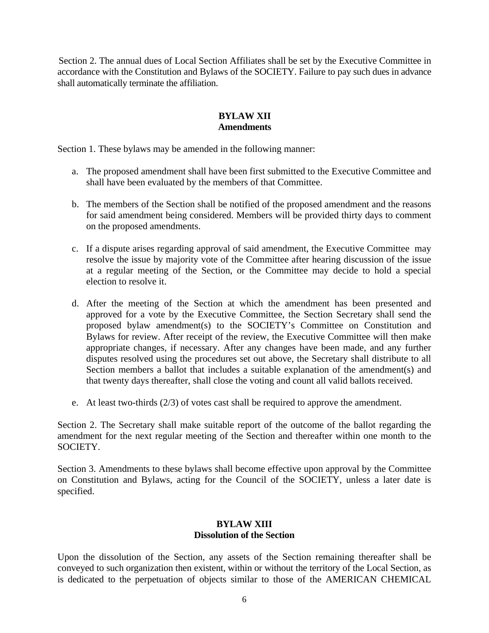Section 2. The annual dues of Local Section Affiliates shall be set by the Executive Committee in accordance with the Constitution and Bylaws of the SOCIETY. Failure to pay such dues in advance shall automatically terminate the affiliation.

## **BYLAW XII Amendments**

Section 1. These bylaws may be amended in the following manner:

- a. The proposed amendment shall have been first submitted to the Executive Committee and shall have been evaluated by the members of that Committee.
- b. The members of the Section shall be notified of the proposed amendment and the reasons for said amendment being considered. Members will be provided thirty days to comment on the proposed amendments.
- c. If a dispute arises regarding approval of said amendment, the Executive Committee may resolve the issue by majority vote of the Committee after hearing discussion of the issue at a regular meeting of the Section, or the Committee may decide to hold a special election to resolve it.
- d. After the meeting of the Section at which the amendment has been presented and approved for a vote by the Executive Committee, the Section Secretary shall send the proposed bylaw amendment(s) to the SOCIETY's Committee on Constitution and Bylaws for review. After receipt of the review, the Executive Committee will then make appropriate changes, if necessary. After any changes have been made, and any further disputes resolved using the procedures set out above, the Secretary shall distribute to all Section members a ballot that includes a suitable explanation of the amendment(s) and that twenty days thereafter, shall close the voting and count all valid ballots received.
- e. At least two-thirds (2/3) of votes cast shall be required to approve the amendment.

Section 2. The Secretary shall make suitable report of the outcome of the ballot regarding the amendment for the next regular meeting of the Section and thereafter within one month to the SOCIETY.

Section 3. Amendments to these bylaws shall become effective upon approval by the Committee on Constitution and Bylaws, acting for the Council of the SOCIETY, unless a later date is specified.

## **BYLAW XIII Dissolution of the Section**

Upon the dissolution of the Section, any assets of the Section remaining thereafter shall be conveyed to such organization then existent, within or without the territory of the Local Section, as is dedicated to the perpetuation of objects similar to those of the AMERICAN CHEMICAL